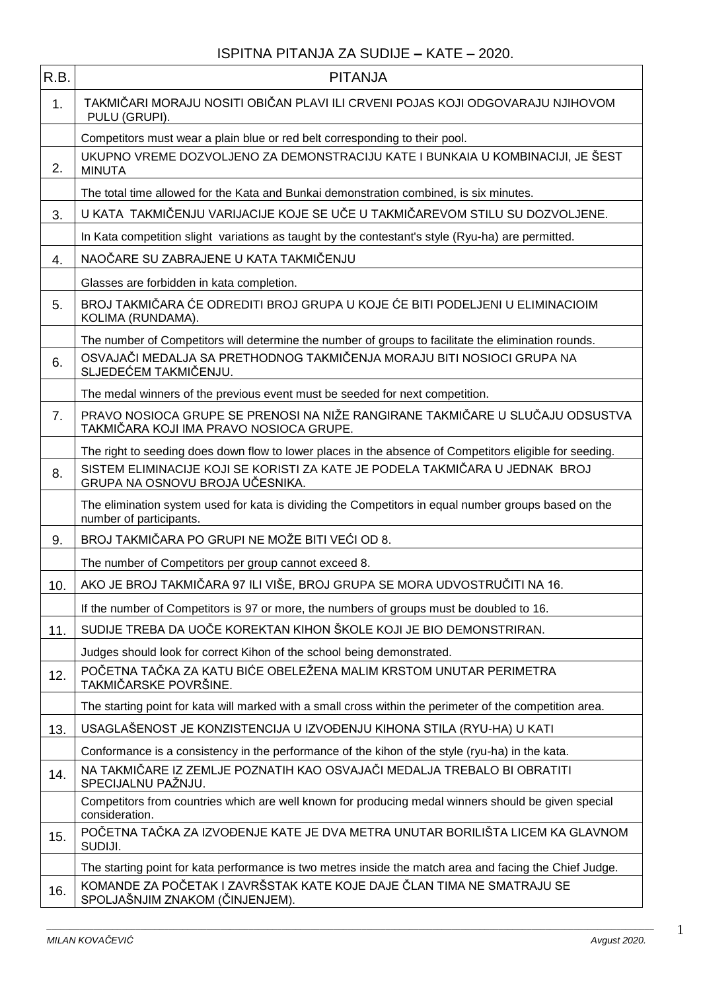| R.B.           | <b>PITANJA</b>                                                                                                                  |
|----------------|---------------------------------------------------------------------------------------------------------------------------------|
| 1.             | TAKMIČARI MORAJU NOSITI OBIČAN PLAVI ILI CRVENI POJAS KOJI ODGOVARAJU NJIHOVOM<br>PULU (GRUPI).                                 |
|                | Competitors must wear a plain blue or red belt corresponding to their pool.                                                     |
| 2.             | UKUPNO VREME DOZVOLJENO ZA DEMONSTRACIJU KATE I BUNKAIA U KOMBINACIJI, JE ŠEST<br><b>MINUTA</b>                                 |
|                | The total time allowed for the Kata and Bunkai demonstration combined, is six minutes.                                          |
| 3.             | U KATA TAKMIČENJU VARIJACIJE KOJE SE UČE U TAKMIČAREVOM STILU SU DOZVOLJENE.                                                    |
|                | In Kata competition slight variations as taught by the contestant's style (Ryu-ha) are permitted.                               |
| 4.             | NAOČARE SU ZABRAJENE U KATA TAKMIČENJU                                                                                          |
|                | Glasses are forbidden in kata completion.                                                                                       |
| 5.             | BROJ TAKMIČARA ĆE ODREDITI BROJ GRUPA U KOJE ĆE BITI PODELJENI U ELIMINACIOIM<br>KOLIMA (RUNDAMA).                              |
|                | The number of Competitors will determine the number of groups to facilitate the elimination rounds.                             |
| 6.             | OSVAJAČI MEDALJA SA PRETHODNOG TAKMIČENJA MORAJU BITI NOSIOCI GRUPA NA<br>SLJEDEĆEM TAKMIČENJU.                                 |
|                | The medal winners of the previous event must be seeded for next competition.                                                    |
| 7 <sub>1</sub> | PRAVO NOSIOCA GRUPE SE PRENOSI NA NIŽE RANGIRANE TAKMIČARE U SLUČAJU ODSUSTVA<br>TAKMIČARA KOJI IMA PRAVO NOSIOCA GRUPE.        |
|                | The right to seeding does down flow to lower places in the absence of Competitors eligible for seeding.                         |
| 8.             | SISTEM ELIMINACIJE KOJI SE KORISTI ZA KATE JE PODELA TAKMIČARA U JEDNAK BROJ<br>GRUPA NA OSNOVU BROJA UČESNIKA.                 |
|                | The elimination system used for kata is dividing the Competitors in equal number groups based on the<br>number of participants. |
| 9.             | BROJ TAKMIČARA PO GRUPI NE MOŽE BITI VEĆI OD 8.                                                                                 |
|                | The number of Competitors per group cannot exceed 8.                                                                            |
| 10.            | AKO JE BROJ TAKMIČARA 97 ILI VIŠE, BROJ GRUPA SE MORA UDVOSTRUČITI NA 16.                                                       |
|                | If the number of Competitors is 97 or more, the numbers of groups must be doubled to 16.                                        |
| 11.            | SUDIJE TREBA DA UOČE KOREKTAN KIHON ŠKOLE KOJI JE BIO DEMONSTRIRAN.                                                             |
|                | Judges should look for correct Kihon of the school being demonstrated.                                                          |
| 12.            | POČETNA TAČKA ZA KATU BIĆE OBELEŽENA MALIM KRSTOM UNUTAR PERIMETRA<br>TAKMIČARSKE POVRŠINE.                                     |
|                | The starting point for kata will marked with a small cross within the perimeter of the competition area.                        |
| 13.            | USAGLAŠENOST JE KONZISTENCIJA U IZVOĐENJU KIHONA STILA (RYU-HA) U KATI                                                          |
|                | Conformance is a consistency in the performance of the kihon of the style (ryu-ha) in the kata.                                 |
| 14.            | NA TAKMIČARE IZ ZEMLJE POZNATIH KAO OSVAJAČI MEDALJA TREBALO BI OBRATITI<br>SPECIJALNU PAŽNJU.                                  |
|                | Competitors from countries which are well known for producing medal winners should be given special<br>consideration.           |
| 15.            | POČETNA TAČKA ZA IZVOĐENJE KATE JE DVA METRA UNUTAR BORILIŠTA LICEM KA GLAVNOM<br>SUDIJI.                                       |
|                | The starting point for kata performance is two metres inside the match area and facing the Chief Judge.                         |
| 16.            | KOMANDE ZA POČETAK I ZAVRŠSTAK KATE KOJE DAJE ČLAN TIMA NE SMATRAJU SE<br>SPOLJAŠNJIM ZNAKOM (ČINJENJEM).                       |

1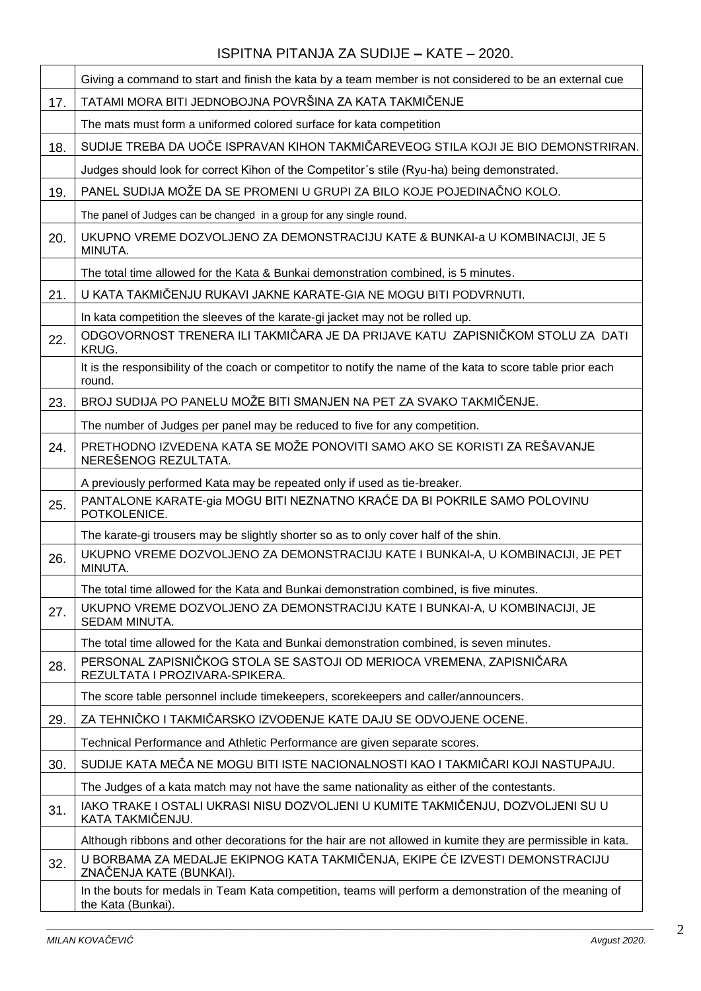|     | Giving a command to start and finish the kata by a team member is not considered to be an external cue                       |
|-----|------------------------------------------------------------------------------------------------------------------------------|
| 17. | TATAMI MORA BITI JEDNOBOJNA POVRŠINA ZA KATA TAKMIČENJE                                                                      |
|     | The mats must form a uniformed colored surface for kata competition                                                          |
| 18. | SUDIJE TREBA DA UOČE ISPRAVAN KIHON TAKMIČAREVEOG STILA KOJI JE BIO DEMONSTRIRAN.                                            |
|     | Judges should look for correct Kihon of the Competitor's stile (Ryu-ha) being demonstrated.                                  |
| 19. | PANEL SUDIJA MOŽE DA SE PROMENI U GRUPI ZA BILO KOJE POJEDINAČNO KOLO.                                                       |
|     | The panel of Judges can be changed in a group for any single round.                                                          |
| 20. | UKUPNO VREME DOZVOLJENO ZA DEMONSTRACIJU KATE & BUNKAI-a U KOMBINACIJI, JE 5<br>MINUTA.                                      |
|     | The total time allowed for the Kata & Bunkai demonstration combined, is 5 minutes.                                           |
| 21. | U KATA TAKMIČENJU RUKAVI JAKNE KARATE-GIA NE MOGU BITI PODVRNUTI.                                                            |
|     | In kata competition the sleeves of the karate-gi jacket may not be rolled up.                                                |
| 22. | ODGOVORNOST TRENERA ILI TAKMIČARA JE DA PRIJAVE KATU ZAPISNIČKOM STOLU ZA DATI<br>KRUG.                                      |
|     | It is the responsibility of the coach or competitor to notify the name of the kata to score table prior each<br>round.       |
| 23. | BROJ SUDIJA PO PANELU MOŽE BITI SMANJEN NA PET ZA SVAKO TAKMIČENJE.                                                          |
|     | The number of Judges per panel may be reduced to five for any competition.                                                   |
| 24. | PRETHODNO IZVEDENA KATA SE MOŽE PONOVITI SAMO AKO SE KORISTI ZA REŠAVANJE<br>NEREŠENOG REZULTATA.                            |
|     | A previously performed Kata may be repeated only if used as tie-breaker.                                                     |
| 25. | PANTALONE KARATE-gia MOGU BITI NEZNATNO KRAĆE DA BI POKRILE SAMO POLOVINU<br>POTKOLENICE.                                    |
|     | The karate-gi trousers may be slightly shorter so as to only cover half of the shin.                                         |
| 26. | UKUPNO VREME DOZVOLJENO ZA DEMONSTRACIJU KATE I BUNKAI-A, U KOMBINACIJI, JE PET<br>MINUTA.                                   |
|     | The total time allowed for the Kata and Bunkai demonstration combined, is five minutes.                                      |
| 27. | UKUPNO VREME DOZVOLJENO ZA DEMONSTRACIJU KATE I BUNKAI-A, U KOMBINACIJI, JE<br>SEDAM MINUTA.                                 |
|     | The total time allowed for the Kata and Bunkai demonstration combined, is seven minutes.                                     |
| 28. | PERSONAL ZAPISNIČKOG STOLA SE SASTOJI OD MERIOCA VREMENA, ZAPISNIČARA<br>REZULTATA I PROZIVARA-SPIKERA.                      |
|     | The score table personnel include timekeepers, scorekeepers and caller/announcers.                                           |
| 29. | ZA TEHNIČKO I TAKMIČARSKO IZVOĐENJE KATE DAJU SE ODVOJENE OCENE.                                                             |
|     | Technical Performance and Athletic Performance are given separate scores.                                                    |
| 30. | SUDIJE KATA MEČA NE MOGU BITI ISTE NACIONALNOSTI KAO I TAKMIČARI KOJI NASTUPAJU.                                             |
|     | The Judges of a kata match may not have the same nationality as either of the contestants.                                   |
| 31. | IAKO TRAKE I OSTALI UKRASI NISU DOZVOLJENI U KUMITE TAKMIČENJU, DOZVOLJENI SU U<br>KATA TAKMIČENJU.                          |
|     | Although ribbons and other decorations for the hair are not allowed in kumite they are permissible in kata.                  |
| 32. | U BORBAMA ZA MEDALJE EKIPNOG KATA TAKMIČENJA, EKIPE ĆE IZVESTI DEMONSTRACIJU<br>ZNAČENJA KATE (BUNKAI).                      |
|     | In the bouts for medals in Team Kata competition, teams will perform a demonstration of the meaning of<br>the Kata (Bunkai). |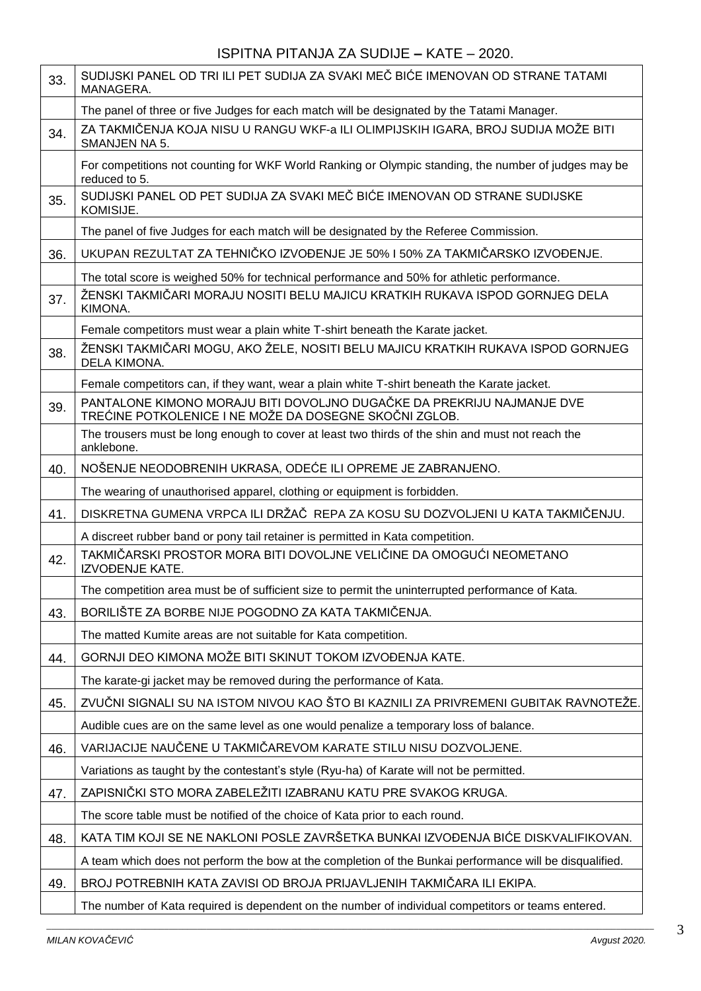| 33. | SUDIJSKI PANEL OD TRI ILI PET SUDIJA ZA SVAKI MEČ BIĆE IMENOVAN OD STRANE TATAMI<br>MANAGERA.                                    |
|-----|----------------------------------------------------------------------------------------------------------------------------------|
|     | The panel of three or five Judges for each match will be designated by the Tatami Manager.                                       |
| 34. | ZA TAKMIČENJA KOJA NISU U RANGU WKF-a ILI OLIMPIJSKIH IGARA, BROJ SUDIJA MOŽE BITI<br>SMANJEN NA 5.                              |
|     | For competitions not counting for WKF World Ranking or Olympic standing, the number of judges may be<br>reduced to 5.            |
| 35. | SUDIJSKI PANEL OD PET SUDIJA ZA SVAKI MEČ BIĆE IMENOVAN OD STRANE SUDIJSKE<br>KOMISIJE.                                          |
|     | The panel of five Judges for each match will be designated by the Referee Commission.                                            |
| 36. | UKUPAN REZULTAT ZA TEHNIČKO IZVOĐENJE JE 50% I 50% ZA TAKMIČARSKO IZVOĐENJE.                                                     |
|     | The total score is weighed 50% for technical performance and 50% for athletic performance.                                       |
| 37. | ŽENSKI TAKMIČARI MORAJU NOSITI BELU MAJICU KRATKIH RUKAVA ISPOD GORNJEG DELA<br>KIMONA.                                          |
|     | Female competitors must wear a plain white T-shirt beneath the Karate jacket.                                                    |
| 38. | ŽENSKI TAKMIČARI MOGU, AKO ŽELE, NOSITI BELU MAJICU KRATKIH RUKAVA ISPOD GORNJEG<br>DELA KIMONA.                                 |
|     | Female competitors can, if they want, wear a plain white T-shirt beneath the Karate jacket.                                      |
| 39. | PANTALONE KIMONO MORAJU BITI DOVOLJNO DUGAČKE DA PREKRIJU NAJMANJE DVE<br>TREĆINE POTKOLENICE I NE MOŽE DA DOSEGNE SKOČNI ZGLOB. |
|     | The trousers must be long enough to cover at least two thirds of the shin and must not reach the<br>anklebone.                   |
| 40. | NOŠENJE NEODOBRENIH UKRASA, ODEĆE ILI OPREME JE ZABRANJENO.                                                                      |
|     | The wearing of unauthorised apparel, clothing or equipment is forbidden.                                                         |
| 41. | DISKRETNA GUMENA VRPCA ILI DRŽAČ REPA ZA KOSU SU DOZVOLJENI U KATA TAKMIČENJU.                                                   |
|     | A discreet rubber band or pony tail retainer is permitted in Kata competition.                                                   |
| 42. | TAKMIČARSKI PROSTOR MORA BITI DOVOLJNE VELIČINE DA OMOGUĆI NEOMETANO<br><b>IZVOĐENJE KATE.</b>                                   |
|     | The competition area must be of sufficient size to permit the uninterrupted performance of Kata.                                 |
| 43. | BORILIŠTE ZA BORBE NIJE POGODNO ZA KATA TAKMIČENJA.                                                                              |
|     | The matted Kumite areas are not suitable for Kata competition.                                                                   |
| 44. | GORNJI DEO KIMONA MOŽE BITI SKINUT TOKOM IZVOĐENJA KATE.                                                                         |
|     | The karate-gi jacket may be removed during the performance of Kata.                                                              |
| 45. | ZVUČNI SIGNALI SU NA ISTOM NIVOU KAO ŠTO BI KAZNILI ZA PRIVREMENI GUBITAK RAVNOTEŽE.                                             |
|     | Audible cues are on the same level as one would penalize a temporary loss of balance.                                            |
| 46. | VARIJACIJE NAUČENE U TAKMIČAREVOM KARATE STILU NISU DOZVOLJENE.                                                                  |
|     | Variations as taught by the contestant's style (Ryu-ha) of Karate will not be permitted.                                         |
| 47. | ZAPISNIČKI STO MORA ZABELEŽITI IZABRANU KATU PRE SVAKOG KRUGA.                                                                   |
|     | The score table must be notified of the choice of Kata prior to each round.                                                      |
| 48. | KATA TIM KOJI SE NE NAKLONI POSLE ZAVRŠETKA BUNKAI IZVOĐENJA BIĆE DISKVALIFIKOVAN.                                               |
|     | A team which does not perform the bow at the completion of the Bunkai performance will be disqualified.                          |
| 49. | BROJ POTREBNIH KATA ZAVISI OD BROJA PRIJAVLJENIH TAKMIČARA ILI EKIPA.                                                            |
|     | The number of Kata required is dependent on the number of individual competitors or teams entered.                               |

3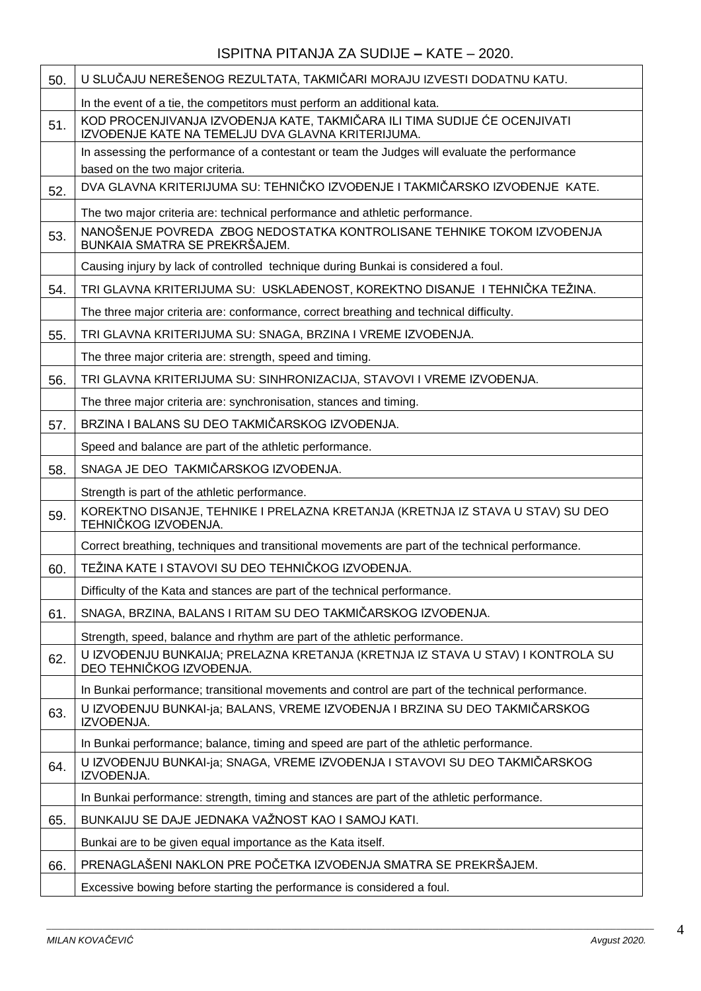| 50. | U SLUČAJU NEREŠENOG REZULTATA, TAKMIČARI MORAJU IZVESTI DODATNU KATU.                                                          |
|-----|--------------------------------------------------------------------------------------------------------------------------------|
|     | In the event of a tie, the competitors must perform an additional kata.                                                        |
| 51. | KOD PROCENJIVANJA IZVOĐENJA KATE, TAKMIČARA ILI TIMA SUDIJE ĆE OCENJIVATI<br>IZVOĐENJE KATE NA TEMELJU DVA GLAVNA KRITERIJUMA. |
|     | In assessing the performance of a contestant or team the Judges will evaluate the performance                                  |
|     | based on the two major criteria.<br>DVA GLAVNA KRITERIJUMA SU: TEHNIČKO IZVOĐENJE I TAKMIČARSKO IZVOĐENJE KATE.                |
| 52. |                                                                                                                                |
|     | The two major criteria are: technical performance and athletic performance.                                                    |
| 53. | NANOŠENJE POVREDA ZBOG NEDOSTATKA KONTROLISANE TEHNIKE TOKOM IZVOĐENJA<br>BUNKAIA SMATRA SE PREKRŠAJEM.                        |
|     | Causing injury by lack of controlled technique during Bunkai is considered a foul.                                             |
| 54. | TRI GLAVNA KRITERIJUMA SU: USKLAĐENOST, KOREKTNO DISANJE I TEHNIČKA TEŽINA.                                                    |
|     | The three major criteria are: conformance, correct breathing and technical difficulty.                                         |
| 55. | TRI GLAVNA KRITERIJUMA SU: SNAGA, BRZINA I VREME IZVOĐENJA.                                                                    |
|     | The three major criteria are: strength, speed and timing.                                                                      |
| 56. | TRI GLAVNA KRITERIJUMA SU: SINHRONIZACIJA, STAVOVI I VREME IZVOĐENJA.                                                          |
|     | The three major criteria are: synchronisation, stances and timing.                                                             |
| 57. | BRZINA I BALANS SU DEO TAKMIČARSKOG IZVOĐENJA.                                                                                 |
|     | Speed and balance are part of the athletic performance.                                                                        |
| 58. | SNAGA JE DEO TAKMIČARSKOG IZVOĐENJA.                                                                                           |
|     | Strength is part of the athletic performance.                                                                                  |
| 59. | KOREKTNO DISANJE, TEHNIKE I PRELAZNA KRETANJA (KRETNJA IZ STAVA U STAV) SU DEO<br>TEHNIČKOG IZVOĐENJA.                         |
|     | Correct breathing, techniques and transitional movements are part of the technical performance.                                |
| 60. | TEŽINA KATE I STAVOVI SU DEO TEHNIČKOG IZVOĐENJA.                                                                              |
|     | Difficulty of the Kata and stances are part of the technical performance                                                       |
| 61. | SNAGA, BRZINA, BALANS I RITAM SU DEO TAKMIČARSKOG IZVOĐENJA.                                                                   |
|     | Strength, speed, balance and rhythm are part of the athletic performance.                                                      |
| 62. | U IZVOĐENJU BUNKAIJA; PRELAZNA KRETANJA (KRETNJA IZ STAVA U STAV) I KONTROLA SU<br>DEO TEHNIČKOG IZVOĐENJA.                    |
|     | In Bunkai performance; transitional movements and control are part of the technical performance.                               |
| 63. | U IZVOĐENJU BUNKAI-ja; BALANS, VREME IZVOĐENJA I BRZINA SU DEO TAKMIČARSKOG<br>IZVOĐENJA.                                      |
|     | In Bunkai performance; balance, timing and speed are part of the athletic performance.                                         |
| 64. | U IZVOĐENJU BUNKAI-ja; SNAGA, VREME IZVOĐENJA I STAVOVI SU DEO TAKMIČARSKOG<br>IZVOĐENJA.                                      |
|     | In Bunkai performance: strength, timing and stances are part of the athletic performance.                                      |
| 65. | BUNKAIJU SE DAJE JEDNAKA VAŽNOST KAO I SAMOJ KATI.                                                                             |
|     | Bunkai are to be given equal importance as the Kata itself.                                                                    |
| 66. | PRENAGLAŠENI NAKLON PRE POČETKA IZVOĐENJA SMATRA SE PREKRŠAJEM.                                                                |
|     | Excessive bowing before starting the performance is considered a foul.                                                         |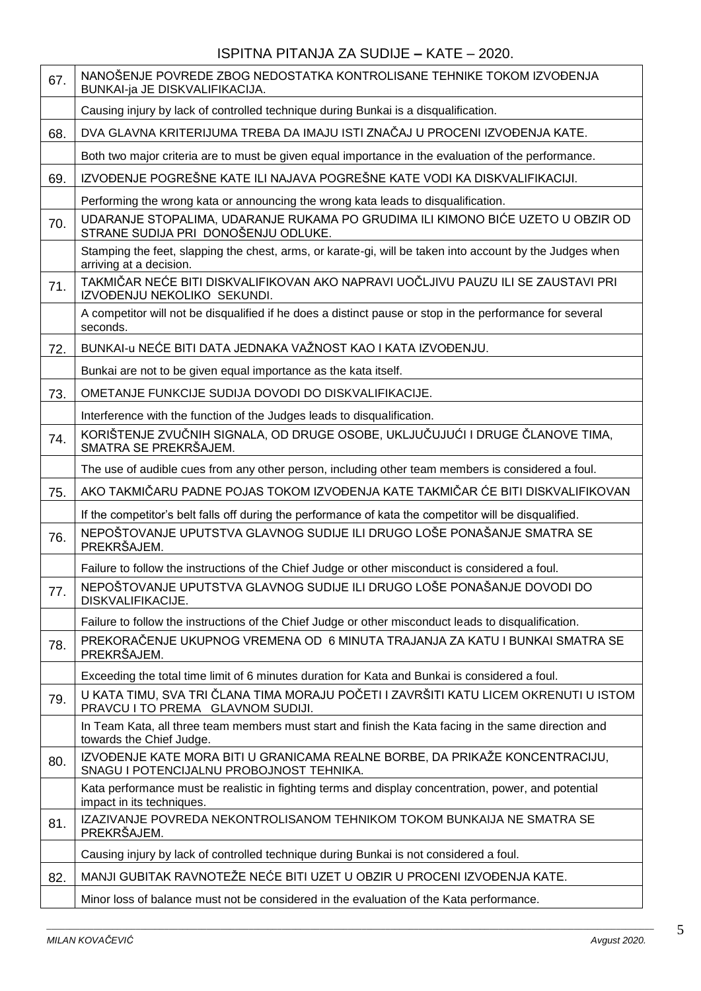| 67. | NANOŠENJE POVREDE ZBOG NEDOSTATKA KONTROLISANE TEHNIKE TOKOM IZVOĐENJA<br>BUNKAI-ja JE DISKVALIFIKACIJA.                            |
|-----|-------------------------------------------------------------------------------------------------------------------------------------|
|     | Causing injury by lack of controlled technique during Bunkai is a disqualification.                                                 |
| 68. | DVA GLAVNA KRITERIJUMA TREBA DA IMAJU ISTI ZNAČAJ U PROCENI IZVOĐENJA KATE.                                                         |
|     | Both two major criteria are to must be given equal importance in the evaluation of the performance.                                 |
| 69. | IZVOĐENJE POGREŠNE KATE ILI NAJAVA POGREŠNE KATE VODI KA DISKVALIFIKACIJI.                                                          |
|     | Performing the wrong kata or announcing the wrong kata leads to disqualification.                                                   |
| 70. | UDARANJE STOPALIMA, UDARANJE RUKAMA PO GRUDIMA ILI KIMONO BIĆE UZETO U OBZIR OD<br>STRANE SUDIJA PRI DONOŠENJU ODLUKE.              |
|     | Stamping the feet, slapping the chest, arms, or karate-gi, will be taken into account by the Judges when<br>arriving at a decision. |
| 71. | TAKMIČAR NEĆE BITI DISKVALIFIKOVAN AKO NAPRAVI UOČLJIVU PAUZU ILI SE ZAUSTAVI PRI<br>IZVOĐENJU NEKOLIKO SEKUNDI.                    |
|     | A competitor will not be disqualified if he does a distinct pause or stop in the performance for several<br>seconds.                |
| 72. | BUNKAI-u NEĆE BITI DATA JEDNAKA VAŽNOST KAO I KATA IZVOĐENJU.                                                                       |
|     | Bunkai are not to be given equal importance as the kata itself.                                                                     |
| 73. | OMETANJE FUNKCIJE SUDIJA DOVODI DO DISKVALIFIKACIJE.                                                                                |
|     | Interference with the function of the Judges leads to disqualification.                                                             |
| 74. | KORIŠTENJE ZVUČNIH SIGNALA, OD DRUGE OSOBE, UKLJUČUJUĆI I DRUGE ČLANOVE TIMA,<br>SMATRA SE PREKRŠAJEM.                              |
|     | The use of audible cues from any other person, including other team members is considered a foul.                                   |
| 75. | AKO TAKMIČARU PADNE POJAS TOKOM IZVOĐENJA KATE TAKMIČAR ĆE BITI DISKVALIFIKOVAN                                                     |
|     | If the competitor's belt falls off during the performance of kata the competitor will be disqualified.                              |
| 76. | NEPOŠTOVANJE UPUTSTVA GLAVNOG SUDIJE ILI DRUGO LOŠE PONAŠANJE SMATRA SE<br>PREKRŠAJEM.                                              |
|     | Failure to follow the instructions of the Chief Judge or other misconduct is considered a foul.                                     |
| 77. | NEPOŠTOVANJE UPUTSTVA GLAVNOG SUDIJE ILI DRUGO LOŠE PONAŠANJE DOVODI DO<br>DISKVALIFIKACIJE.                                        |
|     | Failure to follow the instructions of the Chief Judge or other misconduct leads to disqualification.                                |
| 78. | PREKORAČENJE UKUPNOG VREMENA OD 6 MINUTA TRAJANJA ZA KATU I BUNKAI SMATRA SE<br>PREKRŠAJEM.                                         |
|     | Exceeding the total time limit of 6 minutes duration for Kata and Bunkai is considered a foul.                                      |
| 79. | U KATA TIMU, SVA TRI ČLANA TIMA MORAJU POČETI I ZAVRŠITI KATU LICEM OKRENUTI U ISTOM<br>PRAVCU I TO PREMA GLAVNOM SUDIJI.           |
|     | In Team Kata, all three team members must start and finish the Kata facing in the same direction and<br>towards the Chief Judge.    |
| 80. | IZVOĐENJE KATE MORA BITI U GRANICAMA REALNE BORBE, DA PRIKAŽE KONCENTRACIJU,<br>SNAGU I POTENCIJALNU PROBOJNOST TEHNIKA.            |
|     | Kata performance must be realistic in fighting terms and display concentration, power, and potential<br>impact in its techniques.   |
| 81. | IZAZIVANJE POVREDA NEKONTROLISANOM TEHNIKOM TOKOM BUNKAIJA NE SMATRA SE<br>PREKRŠAJEM.                                              |
|     | Causing injury by lack of controlled technique during Bunkai is not considered a foul.                                              |
| 82. | MANJI GUBITAK RAVNOTEŽE NEĆE BITI UZET U OBZIR U PROCENI IZVOĐENJA KATE.                                                            |
|     | Minor loss of balance must not be considered in the evaluation of the Kata performance.                                             |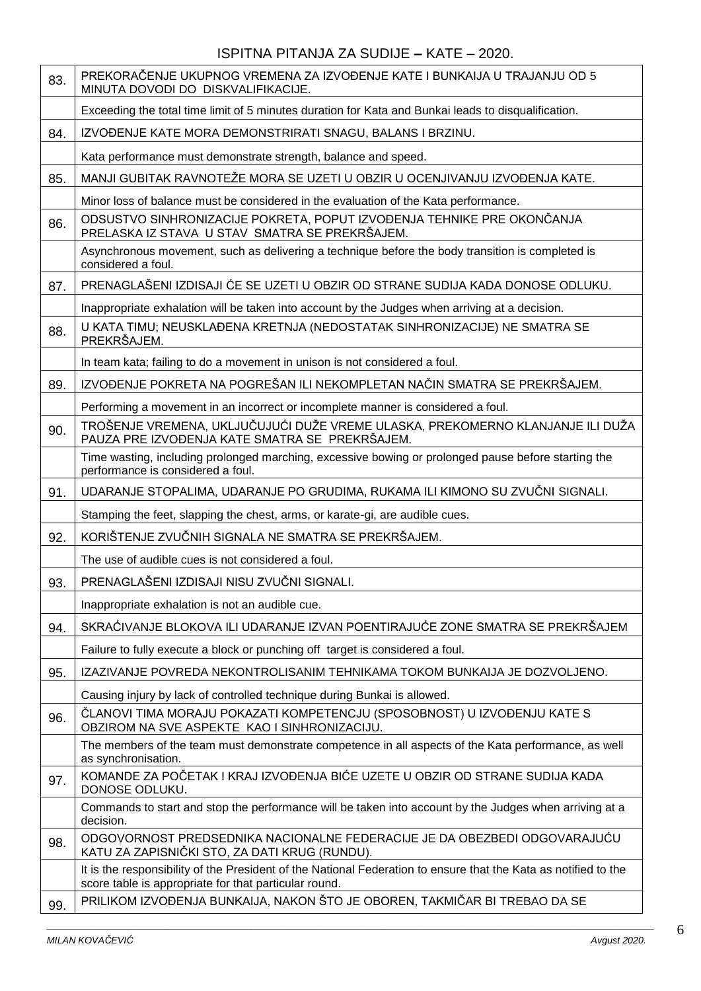| 83. | PREKORAČENJE UKUPNOG VREMENA ZA IZVOĐENJE KATE I BUNKAJJA U TRAJANJU OD 5<br>MINUTA DOVODI DO DISKVALIFIKACIJE.                                                          |
|-----|--------------------------------------------------------------------------------------------------------------------------------------------------------------------------|
|     | Exceeding the total time limit of 5 minutes duration for Kata and Bunkai leads to disqualification.                                                                      |
| 84. | IZVOĐENJE KATE MORA DEMONSTRIRATI SNAGU, BALANS I BRZINU.                                                                                                                |
|     | Kata performance must demonstrate strength, balance and speed.                                                                                                           |
| 85. | MANJI GUBITAK RAVNOTEŽE MORA SE UZETI U OBZIR U OCENJIVANJU IZVOĐENJA KATE.                                                                                              |
|     | Minor loss of balance must be considered in the evaluation of the Kata performance.                                                                                      |
| 86. | ODSUSTVO SINHRONIZACIJE POKRETA, POPUT IZVOĐENJA TEHNIKE PRE OKONČANJA<br>PRELASKA IZ STAVA U STAV SMATRA SE PREKRŠAJEM.                                                 |
|     | Asynchronous movement, such as delivering a technique before the body transition is completed is<br>considered a foul.                                                   |
| 87. | PRENAGLAŠENI IZDISAJI ĆE SE UZETI U OBZIR OD STRANE SUDIJA KADA DONOSE ODLUKU.                                                                                           |
|     | Inappropriate exhalation will be taken into account by the Judges when arriving at a decision.                                                                           |
| 88. | U KATA TIMU; NEUSKLAĐENA KRETNJA (NEDOSTATAK SINHRONIZACIJE) NE SMATRA SE<br>PREKRŠAJEM.                                                                                 |
|     | In team kata; failing to do a movement in unison is not considered a foul.                                                                                               |
| 89. | IZVOĐENJE POKRETA NA POGREŠAN ILI NEKOMPLETAN NAČIN SMATRA SE PREKRŠAJEM.                                                                                                |
|     | Performing a movement in an incorrect or incomplete manner is considered a foul.                                                                                         |
| 90. | TROŠENJE VREMENA, UKLJUČUJUĆI DUŽE VREME ULASKA, PREKOMERNO KLANJANJE ILI DUŽA<br>PAUZA PRE IZVOĐENJA KATE SMATRA SE PREKRŠAJEM.                                         |
|     | Time wasting, including prolonged marching, excessive bowing or prolonged pause before starting the<br>performance is considered a foul.                                 |
| 91. | UDARANJE STOPALIMA, UDARANJE PO GRUDIMA, RUKAMA ILI KIMONO SU ZVUČNI SIGNALI.                                                                                            |
|     | Stamping the feet, slapping the chest, arms, or karate-gi, are audible cues.                                                                                             |
| 92. | KORIŠTENJE ZVUČNIH SIGNALA NE SMATRA SE PREKRŠAJEM.                                                                                                                      |
|     | The use of audible cues is not considered a foul.                                                                                                                        |
| 93. | PRENAGLAŠENI IZDISAJI NISU ZVUČNI SIGNALI.                                                                                                                               |
|     | Inappropriate exhalation is not an audible cue.                                                                                                                          |
| 94. | SKRAĆIVANJE BLOKOVA ILI UDARANJE IZVAN POENTIRAJUĆE ZONE SMATRA SE PREKRŠAJEM                                                                                            |
|     | Failure to fully execute a block or punching off target is considered a foul.                                                                                            |
| 95. | IZAZIVANJE POVREDA NEKONTROLISANIM TEHNIKAMA TOKOM BUNKAIJA JE DOZVOLJENO.                                                                                               |
|     | Causing injury by lack of controlled technique during Bunkai is allowed.                                                                                                 |
| 96. | ČLANOVI TIMA MORAJU POKAZATI KOMPETENCJU (SPOSOBNOST) U IZVOĐENJU KATE S<br>OBZIROM NA SVE ASPEKTE KAO I SINHRONIZACIJU.                                                 |
|     | The members of the team must demonstrate competence in all aspects of the Kata performance, as well<br>as synchronisation.                                               |
| 97. | KOMANDE ZA POČETAK I KRAJ IZVOĐENJA BIĆE UZETE U OBZIR OD STRANE SUDIJA KADA<br>DONOSE ODLUKU.                                                                           |
|     | Commands to start and stop the performance will be taken into account by the Judges when arriving at a<br>decision.                                                      |
| 98. | ODGOVORNOST PREDSEDNIKA NACIONALNE FEDERACIJE JE DA OBEZBEDI ODGOVARAJUĆU<br>KATU ZA ZAPISNIČKI STO, ZA DATI KRUG (RUNDU).                                               |
|     | It is the responsibility of the President of the National Federation to ensure that the Kata as notified to the<br>score table is appropriate for that particular round. |
| 99. | PRILIKOM IZVOĐENJA BUNKAIJA, NAKON ŠTO JE OBOREN, TAKMIČAR BI TREBAO DA SE                                                                                               |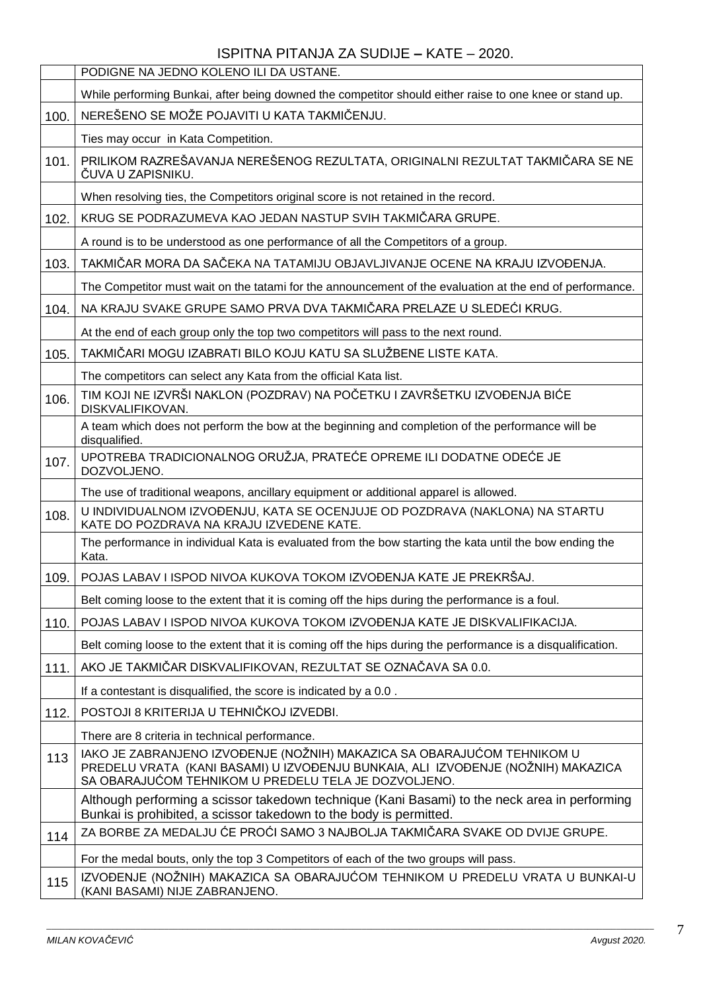|      | PODIGNE NA JEDNO KOLENO ILI DA USTANE.                                                                                                                                                                              |
|------|---------------------------------------------------------------------------------------------------------------------------------------------------------------------------------------------------------------------|
|      | While performing Bunkai, after being downed the competitor should either raise to one knee or stand up.                                                                                                             |
| 100. | NEREŠENO SE MOŽE POJAVITI U KATA TAKMIČENJU.                                                                                                                                                                        |
|      | Ties may occur in Kata Competition.                                                                                                                                                                                 |
| 101. | PRILIKOM RAZREŠAVANJA NEREŠENOG REZULTATA, ORIGINALNI REZULTAT TAKMIČARA SE NE<br>ČUVA U ZAPISNIKU.                                                                                                                 |
|      | When resolving ties, the Competitors original score is not retained in the record.                                                                                                                                  |
| 102. | KRUG SE PODRAZUMEVA KAO JEDAN NASTUP SVIH TAKMIČARA GRUPE.                                                                                                                                                          |
|      | A round is to be understood as one performance of all the Competitors of a group.                                                                                                                                   |
| 103. | TAKMIČAR MORA DA SAČEKA NA TATAMIJU OBJAVLJIVANJE OCENE NA KRAJU IZVOĐENJA.                                                                                                                                         |
|      | The Competitor must wait on the tatami for the announcement of the evaluation at the end of performance.                                                                                                            |
| 104. | NA KRAJU SVAKE GRUPE SAMO PRVA DVA TAKMIČARA PRELAZE U SLEDEĆI KRUG.                                                                                                                                                |
|      | At the end of each group only the top two competitors will pass to the next round.                                                                                                                                  |
| 105. | TAKMIČARI MOGU IZABRATI BILO KOJU KATU SA SLUŽBENE LISTE KATA.                                                                                                                                                      |
|      | The competitors can select any Kata from the official Kata list.                                                                                                                                                    |
| 106. | TIM KOJI NE IZVRŠI NAKLON (POZDRAV) NA POČETKU I ZAVRŠETKU IZVOĐENJA BIĆE<br>DISKVALIFIKOVAN.                                                                                                                       |
|      | A team which does not perform the bow at the beginning and completion of the performance will be<br>disqualified.                                                                                                   |
| 107. | UPOTREBA TRADICIONALNOG ORUŽJA, PRATEĆE OPREME ILI DODATNE ODEĆE JE<br>DOZVOLJENO.                                                                                                                                  |
|      | The use of traditional weapons, ancillary equipment or additional apparel is allowed.                                                                                                                               |
| 108. | U INDIVIDUALNOM IZVOĐENJU, KATA SE OCENJUJE OD POZDRAVA (NAKLONA) NA STARTU<br>KATE DO POZDRAVA NA KRAJU IZVEDENE KATE.                                                                                             |
|      | The performance in individual Kata is evaluated from the bow starting the kata until the bow ending the<br>Kata.                                                                                                    |
| 109. | POJAS LABAV I ISPOD NIVOA KUKOVA TOKOM IZVOĐENJA KATE JE PREKRŠAJ.                                                                                                                                                  |
|      | Belt coming loose to the extent that it is coming off the hips during the performance is a foul.                                                                                                                    |
| 110. | POJAS LABAV I ISPOD NIVOA KUKOVA TOKOM IZVOĐENJA KATE JE DISKVALIFIKACIJA.                                                                                                                                          |
|      | Belt coming loose to the extent that it is coming off the hips during the performance is a disqualification.                                                                                                        |
| 111. | AKO JE TAKMIČAR DISKVALIFIKOVAN, REZULTAT SE OZNAČAVA SA 0.0.                                                                                                                                                       |
|      | If a contestant is disqualified, the score is indicated by a 0.0.                                                                                                                                                   |
| 112. | POSTOJI 8 KRITERIJA U TEHNIČKOJ IZVEDBI.                                                                                                                                                                            |
|      | There are 8 criteria in technical performance.                                                                                                                                                                      |
| 113  | IAKO JE ZABRANJENO IZVOĐENJE (NOŽNIH) MAKAZICA SA OBARAJUĆOM TEHNIKOM U<br>PREDELU VRATA (KANI BASAMI) U IZVOĐENJU BUNKAIA, ALI IZVOĐENJE (NOŽNIH) MAKAZICA<br>SA OBARAJUĆOM TEHNIKOM U PREDELU TELA JE DOZVOLJENO. |
|      | Although performing a scissor takedown technique (Kani Basami) to the neck area in performing<br>Bunkai is prohibited, a scissor takedown to the body is permitted.                                                 |
| 114  | ZA BORBE ZA MEDALJU ĆE PROĆI SAMO 3 NAJBOLJA TAKMIČARA SVAKE OD DVIJE GRUPE.                                                                                                                                        |
|      | For the medal bouts, only the top 3 Competitors of each of the two groups will pass.                                                                                                                                |
| 115  | IZVOĐENJE (NOŽNIH) MAKAZICA SA OBARAJUĆOM TEHNIKOM U PREDELU VRATA U BUNKAI-U<br>(KANI BASAMI) NIJE ZABRANJENO.                                                                                                     |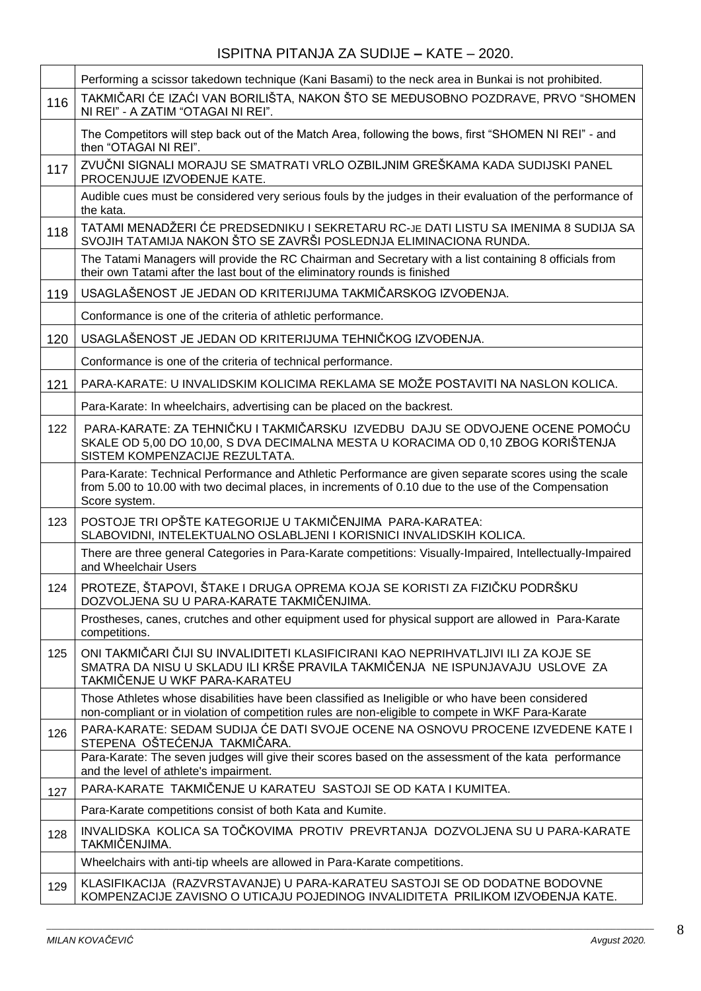|     | Performing a scissor takedown technique (Kani Basami) to the neck area in Bunkai is not prohibited.                                                                                                                            |
|-----|--------------------------------------------------------------------------------------------------------------------------------------------------------------------------------------------------------------------------------|
| 116 | TAKMIČARI ĆE IZAĆI VAN BORILIŠTA, NAKON ŠTO SE MEĐUSOBNO POZDRAVE, PRVO "SHOMEN<br>NI REI" - A ZATIM "OTAGAI NI REI".                                                                                                          |
|     | The Competitors will step back out of the Match Area, following the bows, first "SHOMEN NI REI" - and<br>then "OTAGAI NI REI".                                                                                                 |
| 117 | ZVUČNI SIGNALI MORAJU SE SMATRATI VRLO OZBILJNIM GREŠKAMA KADA SUDIJSKI PANEL<br>PROCENJUJE IZVOĐENJE KATE.                                                                                                                    |
|     | Audible cues must be considered very serious fouls by the judges in their evaluation of the performance of<br>the kata.                                                                                                        |
| 118 | TATAMI MENADŽERI ĆE PREDSEDNIKU I SEKRETARU RC-JE DATI LISTU SA IMENIMA 8 SUDIJA SA<br>SVOJIH TATAMIJA NAKON ŠTO SE ZAVRŠI POSLEDNJA ELIMINACIONA RUNDA.                                                                       |
|     | The Tatami Managers will provide the RC Chairman and Secretary with a list containing 8 officials from<br>their own Tatami after the last bout of the eliminatory rounds is finished                                           |
| 119 | USAGLAŠENOST JE JEDAN OD KRITERIJUMA TAKMIČARSKOG IZVOĐENJA.                                                                                                                                                                   |
|     | Conformance is one of the criteria of athletic performance.                                                                                                                                                                    |
| 120 | USAGLAŠENOST JE JEDAN OD KRITERIJUMA TEHNIČKOG IZVOĐENJA.                                                                                                                                                                      |
|     | Conformance is one of the criteria of technical performance.                                                                                                                                                                   |
| 121 | PARA-KARATE: U INVALIDSKIM KOLICIMA REKLAMA SE MOŽE POSTAVITI NA NASLON KOLICA.                                                                                                                                                |
|     | Para-Karate: In wheelchairs, advertising can be placed on the backrest.                                                                                                                                                        |
| 122 | PARA-KARATE: ZA TEHNIČKU I TAKMIČARSKU IZVEDBU DAJU SE ODVOJENE OCENE POMOĆU<br>SKALE OD 5,00 DO 10,00, S DVA DECIMALNA MESTA U KORACIMA OD 0,10 ZBOG KORIŠTENJA<br>SISTEM KOMPENZACIJE REZULTATA.                             |
|     | Para-Karate: Technical Performance and Athletic Performance are given separate scores using the scale<br>from 5.00 to 10.00 with two decimal places, in increments of 0.10 due to the use of the Compensation<br>Score system. |
| 123 | POSTOJE TRI OPŠTE KATEGORIJE U TAKMIČENJIMA PARA-KARATEA:<br>SLABOVIDNI, INTELEKTUALNO OSLABLJENI I KORISNICI INVALIDSKIH KOLICA.                                                                                              |
|     | There are three general Categories in Para-Karate competitions: Visually-Impaired, Intellectually-Impaired<br>and Wheelchair Users                                                                                             |
| 124 | PROTEZE, ŠTAPOVI, ŠTAKE I DRUGA OPREMA KOJA SE KORISTI ZA FIZIČKU PODRŠKU<br>DOZVOLJENA SU U PARA-KARATE TAKMIČENJIMA.                                                                                                         |
|     | Prostheses, canes, crutches and other equipment used for physical support are allowed in Para-Karate<br>competitions.                                                                                                          |
| 125 | ONI TAKMIČARI ČIJI SU INVALIDITETI KLASIFICIRANI KAO NEPRIHVATLJIVI ILI ZA KOJE SE<br>SMATRA DA NISU U SKLADU ILI KRŠE PRAVILA TAKMIČENJA NE ISPUNJAVAJU USLOVE ZA<br>TAKMIČENJE U WKF PARA-KARATEU                            |
|     | Those Athletes whose disabilities have been classified as Ineligible or who have been considered<br>non-compliant or in violation of competition rules are non-eligible to compete in WKF Para-Karate                          |
| 126 | PARA-KARATE: SEDAM SUDIJA ĆE DATI SVOJE OCENE NA OSNOVU PROCENE IZVEDENE KATE I<br>STEPENA OŠTEĆENJA TAKMIČARA.                                                                                                                |
|     | Para-Karate: The seven judges will give their scores based on the assessment of the kata performance<br>and the level of athlete's impairment.                                                                                 |
| 127 | PARA-KARATE TAKMIČENJE U KARATEU SASTOJI SE OD KATA I KUMITEA.                                                                                                                                                                 |
|     | Para-Karate competitions consist of both Kata and Kumite.                                                                                                                                                                      |
| 128 | INVALIDSKA KOLICA SA TOČKOVIMA PROTIV PREVRTANJA DOZVOLJENA SU U PARA-KARATE<br>TAKMIČENJIMA.                                                                                                                                  |
|     | Wheelchairs with anti-tip wheels are allowed in Para-Karate competitions.                                                                                                                                                      |
| 129 | KLASIFIKACIJA (RAZVRSTAVANJE) U PARA-KARATEU SASTOJI SE OD DODATNE BODOVNE<br>KOMPENZACIJE ZAVISNO O UTICAJU POJEDINOG INVALIDITETA PRILIKOM IZVOĐENJA KATE.                                                                   |